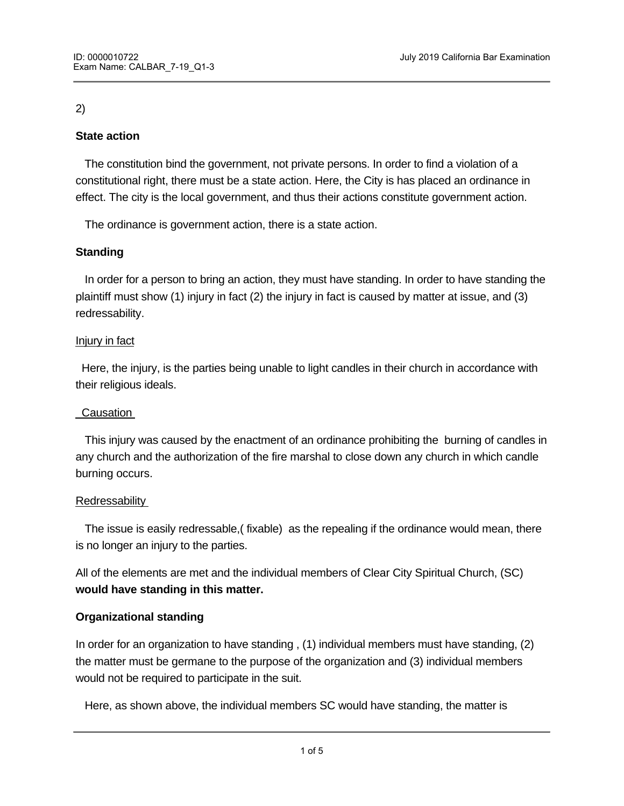## 2)

# **State action**

 The constitution bind the government, not private persons. In order to find a violation of a constitutional right, there must be a state action. Here, the City is has placed an ordinance in effect. The city is the local government, and thus their actions constitute government action.

The ordinance is government action, there is a state action.

## **Standing**

In order for a person to bring an action, they must have standing. In order to have standing the plaintiff must show (1) injury in fact (2) the injury in fact is caused by matter at issue, and (3) redressability.

#### Injury in fact

 Here, the injury, is the parties being unable to light candles in their church in accordance with their religious ideals.

# Causation

 This injury was caused by the enactment of an ordinance prohibiting the burning of candles in any church and the authorization of the fire marshal to close down any church in which candle burning occurs.

# Redressability

 The issue is easily redressable,( fixable) as the repealing if the ordinance would mean, there is no longer an injury to the parties.

All of the elements are met and the individual members of Clear City Spiritual Church, (SC) **would have standing in this matter.**

# **Organizational standing**

In order for an organization to have standing , (1) individual members must have standing, (2) the matter must be germane to the purpose of the organization and (3) individual members would not be required to participate in the suit.

Here, as shown above, the individual members SC would have standing, the matter is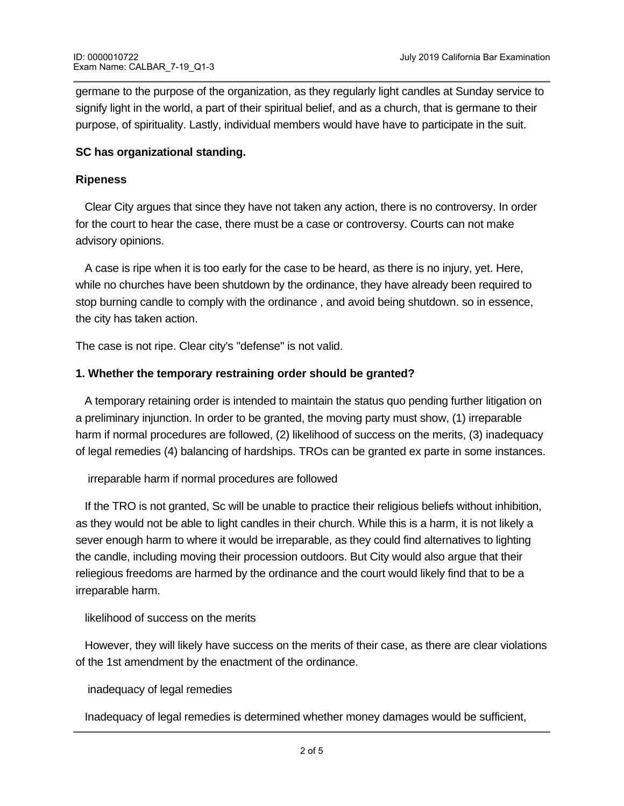germane to the purpose of the organization, as they regularly light candles at Sunday service to signify light in the world, a part of their spiritual belief, and as a church, that is germane to their purpose, of spirituality. Lastly, individual members would have have to participate in the suit.

### **SC has organizational standing.**

### **Ripeness**

Clear City argues that since they have not taken any action, there is no controversy. In order for the court to hear the case, there must be a case or controversy. Courts can not make advisory opinions.

 A case is ripe when it is too early for the case to be heard, as there is no injury, yet. Here, while no churches have been shutdown by the ordinance, they have already been required to stop burning candle to comply with the ordinance , and avoid being shutdown. so in essence, the city has taken action.

The case is not ripe. Clear city's "defense" is not valid.

## **1. Whether the temporary restraining order should be granted?**

 A temporary retaining order is intended to maintain the status quo pending further litigation on a preliminary injunction. In order to be granted, the moving party must show, (1) irreparable harm if normal procedures are followed, (2) likelihood of success on the merits, (3) inadequacy of legal remedies (4) balancing of hardships. TROs can be granted ex parte in some instances.

irreparable harm if normal procedures are followed

 If the TRO is not granted, Sc will be unable to practice their religious beliefs without inhibition, as they would not be able to light candles in their church. While this is a harm, it is not likely a sever enough harm to where it would be irreparable, as they could find alternatives to lighting the candle, including moving their procession outdoors. But City would also argue that their reliegious freedoms are harmed by the ordinance and the court would likely find that to be a irreparable harm.

likelihood of success on the merits

 However, they will likely have success on the merits of their case, as there are clear violations of the 1st amendment by the enactment of the ordinance.

inadequacy of legal remedies

Inadequacy of legal remedies is determined whether money damages would be sufficient,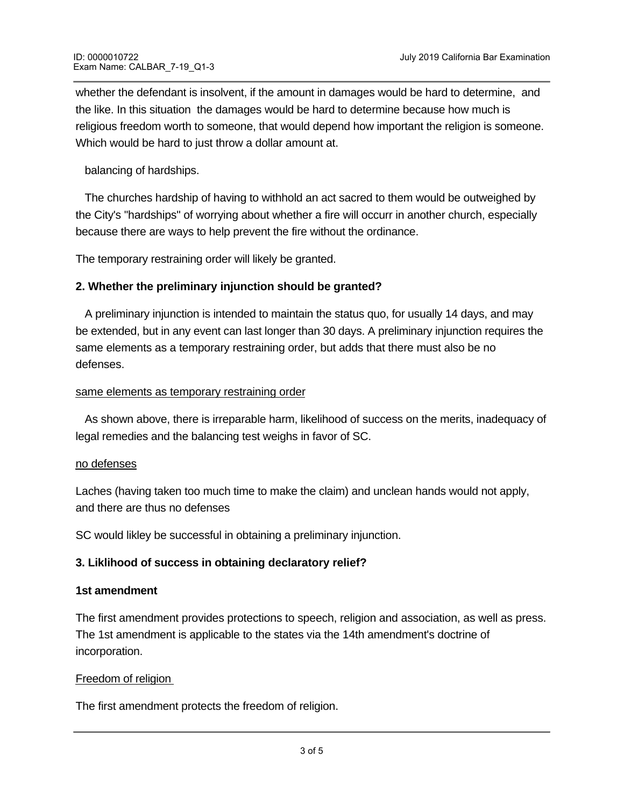whether the defendant is insolvent, if the amount in damages would be hard to determine, and the like. In this situation the damages would be hard to determine because how much is religious freedom worth to someone, that would depend how important the religion is someone. Which would be hard to just throw a dollar amount at.

balancing of hardships.

 The churches hardship of having to withhold an act sacred to them would be outweighed by the City's "hardships" of worrying about whether a fire will occurr in another church, especially because there are ways to help prevent the fire without the ordinance.

The temporary restraining order will likely be granted.

## **2. Whether the preliminary injunction should be granted?**

A preliminary injunction is intended to maintain the status quo, for usually 14 days, and may be extended, but in any event can last longer than 30 days. A preliminary injunction requires the same elements as a temporary restraining order, but adds that there must also be no defenses.

#### same elements as temporary restraining order

 As shown above, there is irreparable harm, likelihood of success on the merits, inadequacy of legal remedies and the balancing test weighs in favor of SC.

#### no defenses

Laches (having taken too much time to make the claim) and unclean hands would not apply, and there are thus no defenses

SC would likley be successful in obtaining a preliminary injunction.

#### **3. Liklihood of success in obtaining declaratory relief?**

#### **1st amendment**

The first amendment provides protections to speech, religion and association, as well as press. The 1st amendment is applicable to the states via the 14th amendment's doctrine of incorporation.

#### Freedom of religion

Free Exercise Exercise

The first amendment protects the freedom of religion.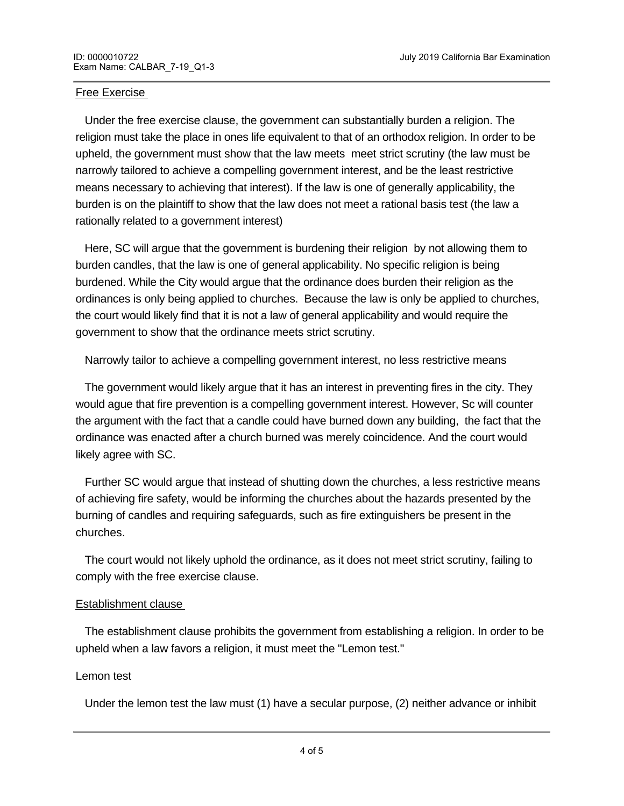### Free Exercise

 Under the free exercise clause, the government can substantially burden a religion. The religion must take the place in ones life equivalent to that of an orthodox religion. In order to be upheld, the government must show that the law meets meet strict scrutiny (the law must be narrowly tailored to achieve a compelling government interest, and be the least restrictive means necessary to achieving that interest). If the law is one of generally applicability, the burden is on the plaintiff to show that the law does not meet a rational basis test (the law a rationally related to a government interest)

 Here, SC will argue that the government is burdening their religion by not allowing them to burden candles, that the law is one of general applicability. No specific religion is being burdened. While the City would argue that the ordinance does burden their religion as the ordinances is only being applied to churches. Because the law is only be applied to churches, the court would likely find that it is not a law of general applicability and would require the government to show that the ordinance meets strict scrutiny.

Narrowly tailor to achieve a compelling government interest, no less restrictive means

 The government would likely argue that it has an interest in preventing fires in the city. They would ague that fire prevention is a compelling government interest. However, Sc will counter the argument with the fact that a candle could have burned down any building, the fact that the ordinance was enacted after a church burned was merely coincidence. And the court would likely agree with SC.

 Further SC would argue that instead of shutting down the churches, a less restrictive means of achieving fire safety, would be informing the churches about the hazards presented by the burning of candles and requiring safeguards, such as fire extinguishers be present in the churches.

 The court would not likely uphold the ordinance, as it does not meet strict scrutiny, failing to comply with the free exercise clause.

#### Establishment clause

 The establishment clause prohibits the government from establishing a religion. In order to be upheld when a law favors a religion, it must meet the "Lemon test."

#### Lemon test

Under the lemon test the law must (1) have a secular purpose, (2) neither advance or inhibit